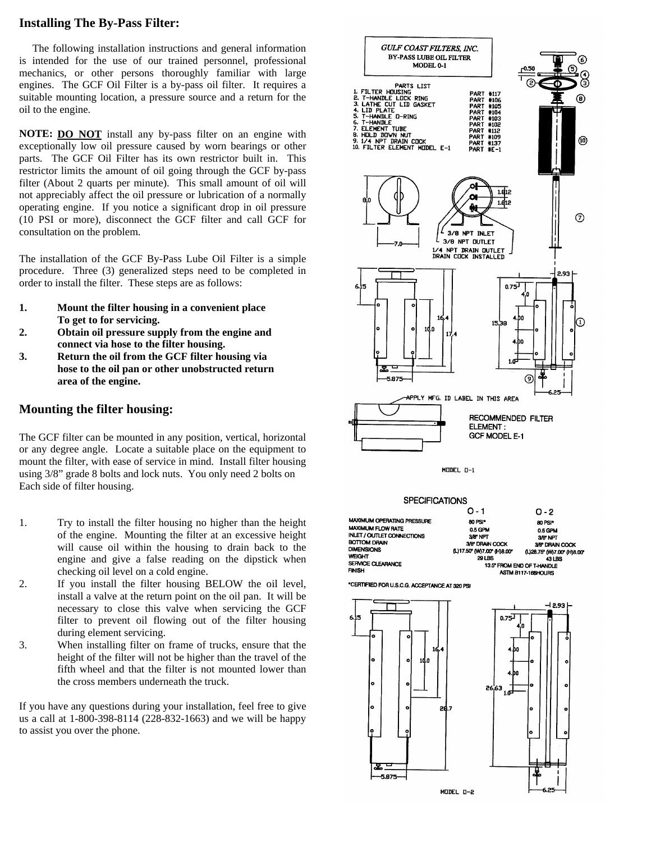#### **Installing The By-Pass Filter:**

The following installation instructions and general information is intended for the use of our trained personnel, professional mechanics, or other persons thoroughly familiar with large engines. The GCF Oil Filter is a by-pass oil filter. It requires a suitable mounting location, a pressure source and a return for the oil to the engine.

**NOTE: DO NOT** install any by-pass filter on an engine with exceptionally low oil pressure caused by worn bearings or other parts. The GCF Oil Filter has its own restrictor built in. This restrictor limits the amount of oil going through the GCF by-pass filter (About 2 quarts per minute). This small amount of oil will not appreciably affect the oil pressure or lubrication of a normally operating engine. If you notice a significant drop in oil pressure (10 PSI or more), disconnect the GCF filter and call GCF for consultation on the problem.

The installation of the GCF By-Pass Lube Oil Filter is a simple procedure. Three (3) generalized steps need to be completed in order to install the filter. These steps are as follows:

- **1. Mount the filter housing in a convenient place To get to for servicing.**
- **2. Obtain oil pressure supply from the engine and connect via hose to the filter housing.**
- **3. Return the oil from the GCF filter housing via hose to the oil pan or other unobstructed return area of the engine.**

#### **Mounting the filter housing:**

The GCF filter can be mounted in any position, vertical, horizontal or any degree angle. Locate a suitable place on the equipment to mount the filter, with ease of service in mind. Install filter housing using 3/8" grade 8 bolts and lock nuts. You only need 2 bolts on Each side of filter housing.

- 1. Try to install the filter housing no higher than the height of the engine. Mounting the filter at an excessive height will cause oil within the housing to drain back to the engine and give a false reading on the dipstick when checking oil level on a cold engine.
- 2. If you install the filter housing BELOW the oil level, install a valve at the return point on the oil pan. It will be necessary to close this valve when servicing the GCF filter to prevent oil flowing out of the filter housing during element servicing.
- 3. When installing filter on frame of trucks, ensure that the height of the filter will not be higher than the travel of the fifth wheel and that the filter is not mounted lower than the cross members underneath the truck.

If you have any questions during your installation, feel free to give us a call at 1-800-398-8114 (228-832-1663) and we will be happy to assist you over the phone.

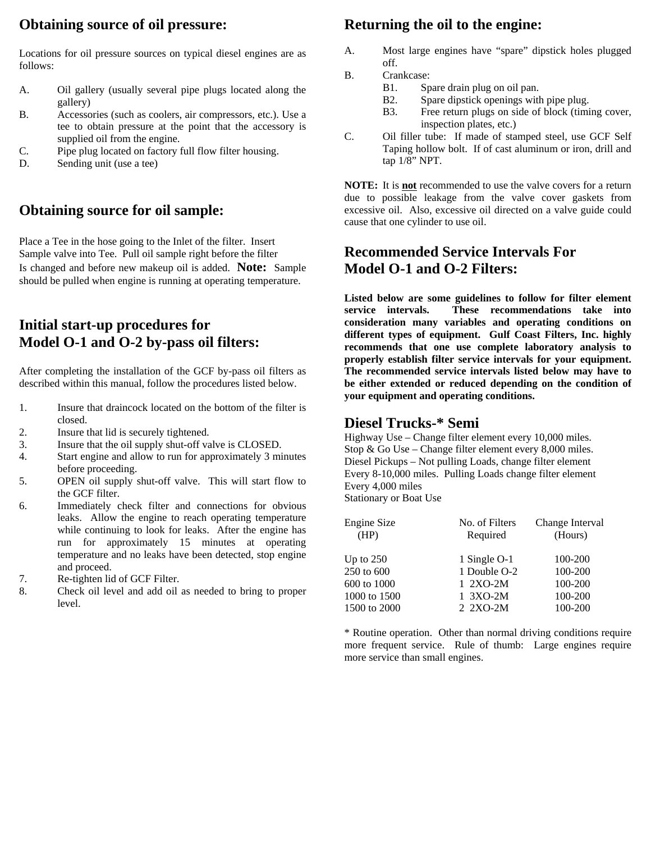## **Obtaining source of oil pressure:**

Locations for oil pressure sources on typical diesel engines are as follows:

- A. Oil gallery (usually several pipe plugs located along the gallery)
- B. Accessories (such as coolers, air compressors, etc.). Use a tee to obtain pressure at the point that the accessory is supplied oil from the engine.
- C. Pipe plug located on factory full flow filter housing.
- D. Sending unit (use a tee)

### **Obtaining source for oil sample:**

Place a Tee in the hose going to the Inlet of the filter. Insert Sample valve into Tee. Pull oil sample right before the filter Is changed and before new makeup oil is added. **Note:** Sample should be pulled when engine is running at operating temperature.

## **Initial start-up procedures for Model O-1 and O-2 by-pass oil filters:**

After completing the installation of the GCF by-pass oil filters as described within this manual, follow the procedures listed below.

- 1. Insure that draincock located on the bottom of the filter is closed.
- 2. Insure that lid is securely tightened.
- 3. Insure that the oil supply shut-off valve is CLOSED.
- 4. Start engine and allow to run for approximately 3 minutes before proceeding.
- 5. OPEN oil supply shut-off valve. This will start flow to the GCF filter.
- 6. Immediately check filter and connections for obvious leaks. Allow the engine to reach operating temperature while continuing to look for leaks. After the engine has run for approximately 15 minutes at operating temperature and no leaks have been detected, stop engine and proceed.
- 7. Re-tighten lid of GCF Filter.
- 8. Check oil level and add oil as needed to bring to proper level.

#### **Returning the oil to the engine:**

- A. Most large engines have "spare" dipstick holes plugged off.
- B. Crankcase:
	- B1. Spare drain plug on oil pan.
	- B2. Spare dipstick openings with pipe plug.
	- B3. Free return plugs on side of block (timing cover, inspection plates, etc.)
- C. Oil filler tube: If made of stamped steel, use GCF Self Taping hollow bolt. If of cast aluminum or iron, drill and tap 1/8" NPT.

**NOTE:** It is **not** recommended to use the valve covers for a return due to possible leakage from the valve cover gaskets from excessive oil. Also, excessive oil directed on a valve guide could cause that one cylinder to use oil.

### **Recommended Service Intervals For Model O-1 and O-2 Filters:**

**Listed below are some guidelines to follow for filter element service intervals. These recommendations take into consideration many variables and operating conditions on different types of equipment. Gulf Coast Filters, Inc. highly recommends that one use complete laboratory analysis to properly establish filter service intervals for your equipment. The recommended service intervals listed below may have to be either extended or reduced depending on the condition of your equipment and operating conditions.** 

#### **Diesel Trucks-\* Semi**

Highway Use – Change filter element every 10,000 miles. Stop & Go Use – Change filter element every 8,000 miles. Diesel Pickups – Not pulling Loads, change filter element Every 8-10,000 miles. Pulling Loads change filter element Every 4,000 miles

Stationary or Boat Use

| Engine Size  | No. of Filters | Change Interval |
|--------------|----------------|-----------------|
| (HP)         | Required       | (Hours)         |
| Up to $250$  | 1 Single O-1   | 100-200         |
| 250 to 600   | 1 Double O-2   | 100-200         |
| 600 to 1000  | 1 2XO-2M       | 100-200         |
| 1000 to 1500 | 1 3XO-2M       | 100-200         |
| 1500 to 2000 | 2 2XO-2M       | 100-200         |

\* Routine operation. Other than normal driving conditions require more frequent service. Rule of thumb: Large engines require more service than small engines.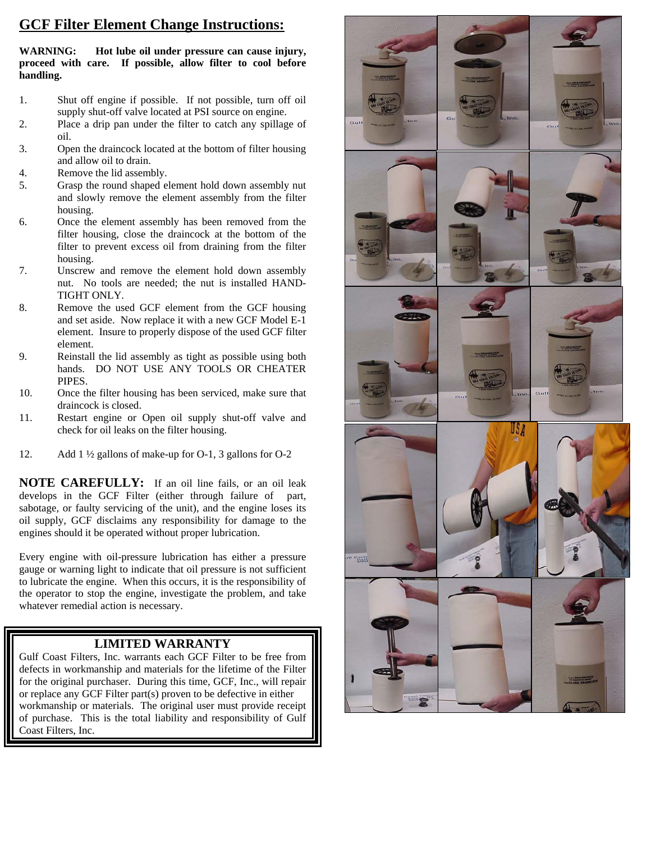## **GCF Filter Element Change Instructions:**

**WARNING: Hot lube oil under pressure can cause injury, proceed with care. If possible, allow filter to cool before handling.** 

- 1. Shut off engine if possible. If not possible, turn off oil supply shut-off valve located at PSI source on engine.
- 2. Place a drip pan under the filter to catch any spillage of oil.
- 3. Open the draincock located at the bottom of filter housing and allow oil to drain.
- 4. Remove the lid assembly.
- 5. Grasp the round shaped element hold down assembly nut and slowly remove the element assembly from the filter housing.
- 6. Once the element assembly has been removed from the filter housing, close the draincock at the bottom of the filter to prevent excess oil from draining from the filter housing.
- 7. Unscrew and remove the element hold down assembly nut. No tools are needed; the nut is installed HAND-TIGHT ONLY.
- 8. Remove the used GCF element from the GCF housing and set aside. Now replace it with a new GCF Model E-1 element. Insure to properly dispose of the used GCF filter element.
- 9. Reinstall the lid assembly as tight as possible using both hands. DO NOT USE ANY TOOLS OR CHEATER PIPES.
- 10. Once the filter housing has been serviced, make sure that draincock is closed.
- 11. Restart engine or Open oil supply shut-off valve and check for oil leaks on the filter housing.
- 12. Add 1 ½ gallons of make-up for O-1, 3 gallons for O-2

**NOTE CAREFULLY:** If an oil line fails, or an oil leak develops in the GCF Filter (either through failure of part, sabotage, or faulty servicing of the unit), and the engine loses its oil supply, GCF disclaims any responsibility for damage to the engines should it be operated without proper lubrication.

Every engine with oil-pressure lubrication has either a pressure gauge or warning light to indicate that oil pressure is not sufficient to lubricate the engine. When this occurs, it is the responsibility of the operator to stop the engine, investigate the problem, and take whatever remedial action is necessary.

#### **LIMITED WARRANTY**

Gulf Coast Filters, Inc. warrants each GCF Filter to be free from defects in workmanship and materials for the lifetime of the Filter for the original purchaser. During this time, GCF, Inc., will repair or replace any GCF Filter part(s) proven to be defective in either workmanship or materials. The original user must provide receipt of purchase. This is the total liability and responsibility of Gulf Coast Filters, Inc.

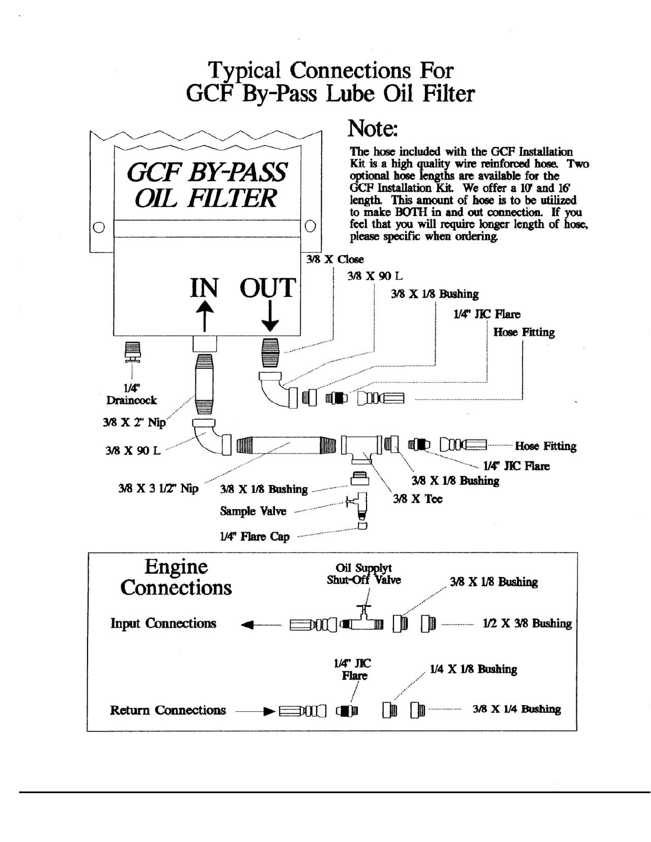# **Typical Connections For** GCF By-Pass Lube Oil Filter